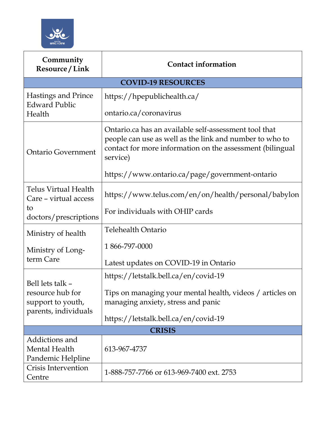

| Community<br>Resource / Link                                                      | <b>Contact information</b>                                                                                                                                                                |  |
|-----------------------------------------------------------------------------------|-------------------------------------------------------------------------------------------------------------------------------------------------------------------------------------------|--|
|                                                                                   | <b>COVID-19 RESOURCES</b>                                                                                                                                                                 |  |
| <b>Hastings and Prince</b><br><b>Edward Public</b><br>Health                      | https://hpepublichealth.ca/                                                                                                                                                               |  |
|                                                                                   | ontario.ca/coronavirus                                                                                                                                                                    |  |
| <b>Ontario Government</b>                                                         | Ontario.ca has an available self-assessment tool that<br>people can use as well as the link and number to who to<br>contact for more information on the assessment (bilingual<br>service) |  |
|                                                                                   | https://www.ontario.ca/page/government-ontario                                                                                                                                            |  |
| <b>Telus Virtual Health</b><br>Care – virtual access                              | https://www.telus.com/en/on/health/personal/babylon                                                                                                                                       |  |
| to<br>doctors/prescriptions                                                       | For individuals with OHIP cards                                                                                                                                                           |  |
| Ministry of health                                                                | <b>Telehealth Ontario</b>                                                                                                                                                                 |  |
| Ministry of Long-<br>term Care                                                    | 1866-797-0000                                                                                                                                                                             |  |
|                                                                                   | Latest updates on COVID-19 in Ontario                                                                                                                                                     |  |
| Bell lets talk -<br>resource hub for<br>support to youth,<br>parents, individuals | https://letstalk.bell.ca/en/covid-19                                                                                                                                                      |  |
|                                                                                   | Tips on managing your mental health, videos / articles on<br>managing anxiety, stress and panic                                                                                           |  |
|                                                                                   | https://letstalk.bell.ca/en/covid-19                                                                                                                                                      |  |
| <b>CRISIS</b>                                                                     |                                                                                                                                                                                           |  |
| Addictions and<br><b>Mental Health</b><br>Pandemic Helpline                       | 613-967-4737                                                                                                                                                                              |  |
| Crisis Intervention<br>Centre                                                     | 1-888-757-7766 or 613-969-7400 ext. 2753                                                                                                                                                  |  |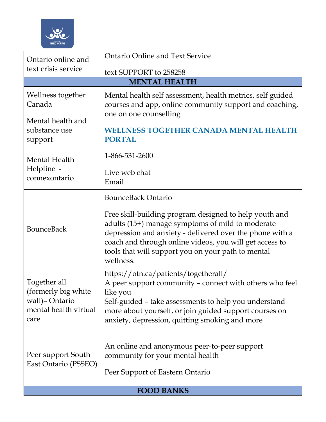

| Ontario online and<br>text crisis service                                      | <b>Ontario Online and Text Service</b>                                                                                                                                                                                                                                                               |  |
|--------------------------------------------------------------------------------|------------------------------------------------------------------------------------------------------------------------------------------------------------------------------------------------------------------------------------------------------------------------------------------------------|--|
|                                                                                | text SUPPORT to 258258                                                                                                                                                                                                                                                                               |  |
|                                                                                | <b>MENTAL HEALTH</b>                                                                                                                                                                                                                                                                                 |  |
| Wellness together<br>Canada                                                    | Mental health self assessment, health metrics, self guided<br>courses and app, online community support and coaching,<br>one on one counselling                                                                                                                                                      |  |
| Mental health and<br>substance use<br>support                                  | <b>WELLNESS TOGETHER CANADA MENTAL HEALTH</b><br><b>PORTAL</b>                                                                                                                                                                                                                                       |  |
| Mental Health                                                                  | 1-866-531-2600                                                                                                                                                                                                                                                                                       |  |
| Helpline -<br>connexontario<br><b>BounceBack</b>                               | Live web chat<br>Email                                                                                                                                                                                                                                                                               |  |
|                                                                                | <b>BounceBack Ontario</b>                                                                                                                                                                                                                                                                            |  |
|                                                                                | Free skill-building program designed to help youth and<br>adults (15+) manage symptoms of mild to moderate<br>depression and anxiety - delivered over the phone with a<br>coach and through online videos, you will get access to<br>tools that will support you on your path to mental<br>wellness. |  |
| Together all<br>(formerly big white)<br>wall)-Ontario<br>mental health virtual | https://otn.ca/patients/togetherall/<br>A peer support community - connect with others who feel<br>like you<br>Self-guided - take assessments to help you understand<br>more about yourself, or join guided support courses on                                                                       |  |
| care                                                                           | anxiety, depression, quitting smoking and more                                                                                                                                                                                                                                                       |  |
| Peer support South<br>East Ontario (PSSEO)                                     | An online and anonymous peer-to-peer support<br>community for your mental health<br>Peer Support of Eastern Ontario                                                                                                                                                                                  |  |
| <b>FOOD BANKS</b>                                                              |                                                                                                                                                                                                                                                                                                      |  |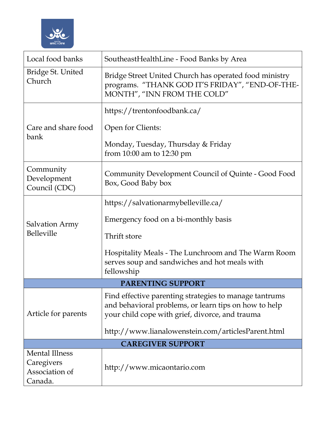

| Local food banks                                                 | SoutheastHealthLine - Food Banks by Area                                                                                                                           |  |
|------------------------------------------------------------------|--------------------------------------------------------------------------------------------------------------------------------------------------------------------|--|
| Bridge St. United<br>Church                                      | Bridge Street United Church has operated food ministry<br>programs. "THANK GOD IT'S FRIDAY", "END-OF-THE-<br>MONTH", "INN FROM THE COLD"                           |  |
|                                                                  | https://trentonfoodbank.ca/                                                                                                                                        |  |
| Care and share food<br>bank                                      | Open for Clients:                                                                                                                                                  |  |
|                                                                  | Monday, Tuesday, Thursday & Friday<br>from 10:00 am to 12:30 pm                                                                                                    |  |
| Community<br>Development<br>Council (CDC)                        | Community Development Council of Quinte - Good Food<br>Box, Good Baby box                                                                                          |  |
|                                                                  | https://salvationarmybelleville.ca/                                                                                                                                |  |
| <b>Salvation Army</b><br>Belleville                              | Emergency food on a bi-monthly basis                                                                                                                               |  |
|                                                                  | Thrift store                                                                                                                                                       |  |
|                                                                  | Hospitality Meals - The Lunchroom and The Warm Room<br>serves soup and sandwiches and hot meals with<br>fellowship                                                 |  |
| PARENTING SUPPORT                                                |                                                                                                                                                                    |  |
| Article for parents                                              | Find effective parenting strategies to manage tantrums<br>and behavioral problems, or learn tips on how to help<br>your child cope with grief, divorce, and trauma |  |
|                                                                  | http://www.lianalowenstein.com/articlesParent.html                                                                                                                 |  |
| <b>CAREGIVER SUPPORT</b>                                         |                                                                                                                                                                    |  |
| <b>Mental Illness</b><br>Caregivers<br>Association of<br>Canada. | http://www.micaontario.com                                                                                                                                         |  |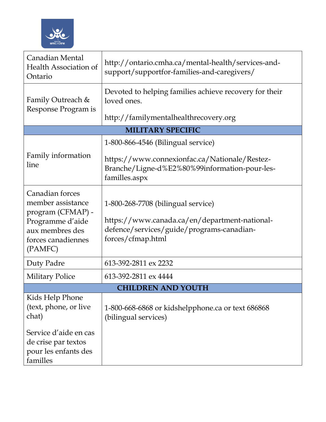

| Canadian Mental<br>Health Association of<br>Ontario                                                                               | http://ontario.cmha.ca/mental-health/services-and-<br>support/supportfor-families-and-caregivers/                                                     |  |
|-----------------------------------------------------------------------------------------------------------------------------------|-------------------------------------------------------------------------------------------------------------------------------------------------------|--|
| Family Outreach &<br>Response Program is                                                                                          | Devoted to helping families achieve recovery for their<br>loved ones.                                                                                 |  |
|                                                                                                                                   | http://familymentalhealthrecovery.org                                                                                                                 |  |
|                                                                                                                                   | <b>MILITARY SPECIFIC</b>                                                                                                                              |  |
|                                                                                                                                   | 1-800-866-4546 (Bilingual service)                                                                                                                    |  |
| Family information<br>line                                                                                                        | https://www.connexionfac.ca/Nationale/Restez-<br>Branche/Ligne-d%E2%80%99information-pour-les-<br>familles.aspx                                       |  |
| Canadian forces<br>member assistance<br>program (CFMAP) -<br>Programme d'aide<br>aux membres des<br>forces canadiennes<br>(PAMFC) | 1-800-268-7708 (bilingual service)<br>https://www.canada.ca/en/department-national-<br>defence/services/guide/programs-canadian-<br>forces/cfmap.html |  |
| Duty Padre                                                                                                                        | 613-392-2811 ex 2232                                                                                                                                  |  |
| <b>Military Police</b>                                                                                                            | 613-392-2811 ex 4444                                                                                                                                  |  |
| <b>CHILDREN AND YOUTH</b>                                                                                                         |                                                                                                                                                       |  |
| Kids Help Phone<br>(text, phone, or live<br>chat)                                                                                 | 1-800-668-6868 or kidshelpphone.ca or text 686868<br>(bilingual services)                                                                             |  |
| Service d'aide en cas<br>de crise par textos<br>pour les enfants des<br>familles                                                  |                                                                                                                                                       |  |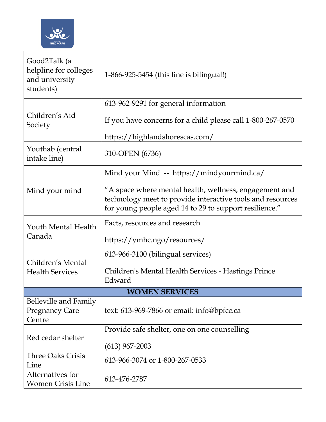

| Good2Talk (a<br>helpline for colleges<br>and university<br>students) | 1-866-925-5454 (this line is bilingual!)                                                                                                                                       |
|----------------------------------------------------------------------|--------------------------------------------------------------------------------------------------------------------------------------------------------------------------------|
|                                                                      | 613-962-9291 for general information                                                                                                                                           |
| Children's Aid<br>Society                                            | If you have concerns for a child please call 1-800-267-0570                                                                                                                    |
|                                                                      | https://highlandshorescas.com/                                                                                                                                                 |
| Youthab (central<br>intake line)                                     | 310-OPEN (6736)                                                                                                                                                                |
|                                                                      | Mind your Mind -- https://mindyourmind.ca/                                                                                                                                     |
| Mind your mind                                                       | "A space where mental health, wellness, engagement and<br>technology meet to provide interactive tools and resources<br>for young people aged 14 to 29 to support resilience." |
| Youth Mental Health<br>Canada                                        | Facts, resources and research                                                                                                                                                  |
|                                                                      | https://ymhc.ngo/resources/                                                                                                                                                    |
|                                                                      | 613-966-3100 (bilingual services)                                                                                                                                              |
| Children's Mental<br><b>Health Services</b>                          | Children's Mental Health Services - Hastings Prince<br>Edward                                                                                                                  |
|                                                                      | <b>WOMEN SERVICES</b>                                                                                                                                                          |
| <b>Belleville and Family</b><br><b>Pregnancy Care</b><br>Centre      | text: 613-969-7866 or email: info@bpfcc.ca                                                                                                                                     |
|                                                                      | Provide safe shelter, one on one counselling                                                                                                                                   |
| Red cedar shelter                                                    | $(613)$ 967-2003                                                                                                                                                               |
| <b>Three Oaks Crisis</b><br>Line                                     | 613-966-3074 or 1-800-267-0533                                                                                                                                                 |
| Alternatives for<br><b>Women Crisis Line</b>                         | 613-476-2787                                                                                                                                                                   |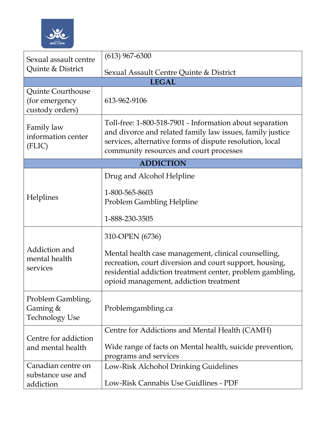

| Sexual assault centre<br>Quinte & District                    | $(613)$ 967-6300                                                                                                                                                                                                             |
|---------------------------------------------------------------|------------------------------------------------------------------------------------------------------------------------------------------------------------------------------------------------------------------------------|
|                                                               | Sexual Assault Centre Quinte & District                                                                                                                                                                                      |
|                                                               | <b>LEGAL</b>                                                                                                                                                                                                                 |
| <b>Quinte Courthouse</b><br>(for emergency<br>custody orders) | 613-962-9106                                                                                                                                                                                                                 |
| Family law<br>information center<br>(FLIC)                    | Toll-free: 1-800-518-7901 - Information about separation<br>and divorce and related family law issues, family justice<br>services, alternative forms of dispute resolution, local<br>community resources and court processes |
|                                                               | <b>ADDICTION</b>                                                                                                                                                                                                             |
| Helplines                                                     | Drug and Alcohol Helpline                                                                                                                                                                                                    |
|                                                               | 1-800-565-8603<br><b>Problem Gambling Helpline</b>                                                                                                                                                                           |
|                                                               | 1-888-230-3505                                                                                                                                                                                                               |
| Addiction and<br>mental health<br>services                    | 310-OPEN (6736)                                                                                                                                                                                                              |
|                                                               | Mental health case management, clinical counselling,<br>recreation, court diversion and court support, housing,<br>residential addiction treatment center, problem gambling,<br>opioid management, addiction treatment       |
| Problem Gambling,<br>Gaming &<br><b>Technology Use</b>        | Problemgambling.ca                                                                                                                                                                                                           |
|                                                               | Centre for Addictions and Mental Health (CAMH)                                                                                                                                                                               |
| Centre for addiction<br>and mental health                     | Wide range of facts on Mental health, suicide prevention,<br>programs and services                                                                                                                                           |
| Canadian centre on<br>substance use and                       | Low-Risk Alchohol Drinking Guidelines                                                                                                                                                                                        |
| addiction                                                     | Low-Risk Cannabis Use Guidlines - PDF                                                                                                                                                                                        |